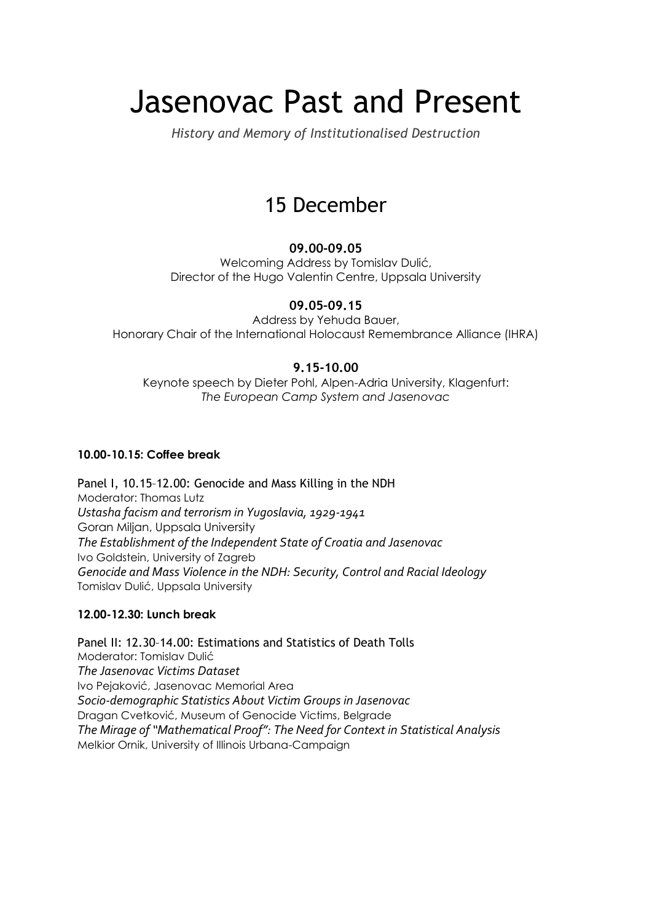# Jasenovac Past and Present

*History and Memory of Institutionalised Destruction*

# 15 December

### **09.00-09.05**

Welcoming Address by Tomislav Dulić, Director of the Hugo Valentin Centre, Uppsala University

### **09.05–09.15**

Address by Yehuda Bauer, Honorary Chair of the International Holocaust Remembrance Alliance (IHRA)

### **9.15-10.00**

Keynote speech by Dieter Pohl, Alpen-Adria University, Klagenfurt: *The European Camp System and Jasenovac*

#### **10.00-10.15: Coffee break**

Panel I, 10.15–12.00: Genocide and Mass Killing in the NDH Moderator: Thomas Lutz *Ustasha facism and terrorism in Yugoslavia, 1929-1941* Goran Miljan, Uppsala University *The Establishment of the Independent State of Croatia and Jasenovac* Ivo Goldstein, University of Zagreb *Genocide and Mass Violence in the NDH: Security, Control and Racial Ideology* Tomislav Dulić, Uppsala University

#### **12.00-12.30: Lunch break**

Panel II: 12.30–14.00: Estimations and Statistics of Death Tolls Moderator: Tomislav Dulić *The Jasenovac Victims Dataset*  Ivo Pejaković, Jasenovac Memorial Area *Socio-demographic Statistics About Victim Groups in Jasenovac*  Dragan Cvetković, Museum of Genocide Victims, Belgrade *The Mirage of "Mathematical Proof": The Need for Context in Statistical Analysis* Melkior Ornik, University of Illinois Urbana-Campaign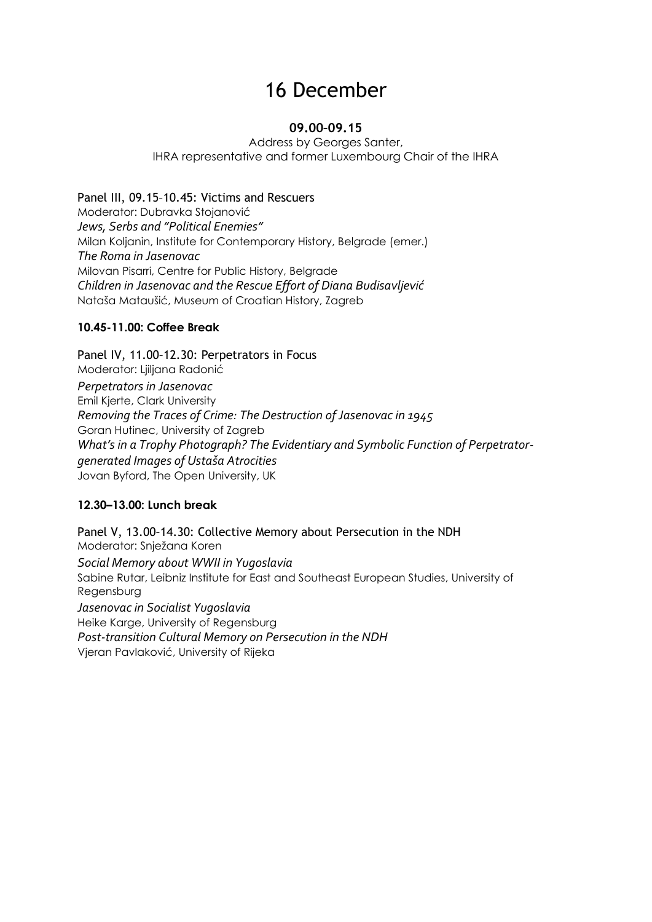## 16 December

#### **09.00–09.15**

Address by Georges Santer, IHRA representative and former Luxembourg Chair of the IHRA

Panel III, 09.15–10.45: Victims and Rescuers Moderator: Dubravka Stojanović *Jews, Serbs and "Political Enemies"* Milan Koljanin, Institute for Contemporary History, Belgrade (emer.) *The Roma in Jasenovac* Milovan Pisarri, Centre for Public History, Belgrade *Children in Jasenovac and the Rescue Effort of Diana Budisavljević* Nataša Mataušić, Museum of Croatian History, Zagreb

#### **10.45-11.00: Coffee Break**

Panel IV, 11.00–12.30: Perpetrators in Focus Moderator: Ljiljana Radonić *Perpetrators in Jasenovac*  Emil Kjerte, Clark University *Removing the Traces of Crime: The Destruction of Jasenovac in 1945*  Goran Hutinec, University of Zagreb *What's in a Trophy Photograph? The Evidentiary and Symbolic Function of Perpetratorgenerated Images of Ustaša Atrocities* Jovan Byford, The Open University, UK

#### **12.30–13.00: Lunch break**

Panel V, 13.00–14.30: Collective Memory about Persecution in the NDH Moderator: Snježana Koren *Social Memory about WWII in Yugoslavia* Sabine Rutar, Leibniz Institute for East and Southeast European Studies, University of Regensburg *Jasenovac in Socialist Yugoslavia* Heike Karge, University of Regensburg *Post-transition Cultural Memory on Persecution in the NDH* Vjeran Pavlaković, University of Rijeka